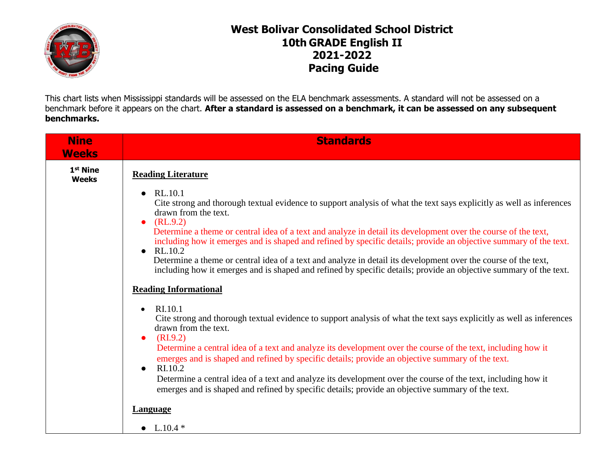

## **West Bolivar Consolidated School District 10th GRADE English II 2021-2022 Pacing Guide**

This chart lists when Mississippi standards will be assessed on the ELA benchmark assessments. A standard will not be assessed on a benchmark before it appears on the chart. **After a standard is assessed on a benchmark, it can be assessed on any subsequent benchmarks.**

| <b>Nine</b><br><b>Weeks</b>          | <b>Standards</b>                                                                                                                                                                                                                                            |
|--------------------------------------|-------------------------------------------------------------------------------------------------------------------------------------------------------------------------------------------------------------------------------------------------------------|
| 1 <sup>st</sup> Nine<br><b>Weeks</b> | <b>Reading Literature</b>                                                                                                                                                                                                                                   |
|                                      | RL.10.1<br>$\bullet$<br>Cite strong and thorough textual evidence to support analysis of what the text says explicitly as well as inferences<br>drawn from the text.<br>(RL.9.2)<br>$\bullet$                                                               |
|                                      | Determine a theme or central idea of a text and analyze in detail its development over the course of the text,<br>including how it emerges and is shaped and refined by specific details; provide an objective summary of the text.<br>RL.10.2<br>$\bullet$ |
|                                      | Determine a theme or central idea of a text and analyze in detail its development over the course of the text,<br>including how it emerges and is shaped and refined by specific details; provide an objective summary of the text.                         |
|                                      | <b>Reading Informational</b>                                                                                                                                                                                                                                |
|                                      | RI.10.1<br>$\bullet$<br>Cite strong and thorough textual evidence to support analysis of what the text says explicitly as well as inferences<br>drawn from the text.<br>(RI.9.2)<br>$\bullet$                                                               |
|                                      | Determine a central idea of a text and analyze its development over the course of the text, including how it<br>emerges and is shaped and refined by specific details; provide an objective summary of the text.<br>RI.10.2<br>$\bullet$                    |
|                                      | Determine a central idea of a text and analyze its development over the course of the text, including how it<br>emerges and is shaped and refined by specific details; provide an objective summary of the text.                                            |
|                                      | <b>Language</b>                                                                                                                                                                                                                                             |
|                                      | • $L.10.4*$                                                                                                                                                                                                                                                 |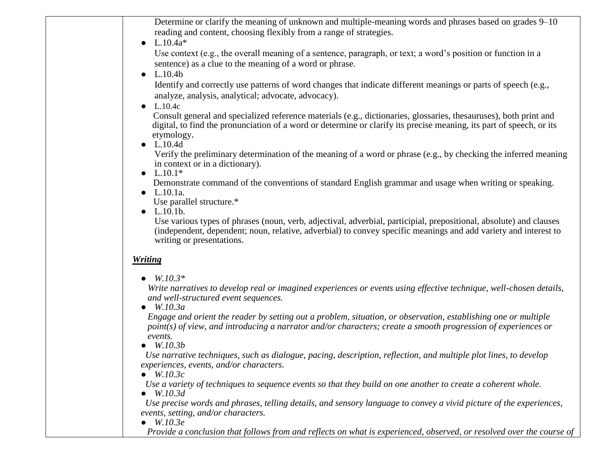| Determine or clarify the meaning of unknown and multiple-meaning words and phrases based on grades 9–10                                                                                                                                                            |
|--------------------------------------------------------------------------------------------------------------------------------------------------------------------------------------------------------------------------------------------------------------------|
| reading and content, choosing flexibly from a range of strategies.                                                                                                                                                                                                 |
| $L.10.4a*$                                                                                                                                                                                                                                                         |
| Use context (e.g., the overall meaning of a sentence, paragraph, or text; a word's position or function in a<br>sentence) as a clue to the meaning of a word or phrase.                                                                                            |
| L.10.4 <sub>b</sub>                                                                                                                                                                                                                                                |
| Identify and correctly use patterns of word changes that indicate different meanings or parts of speech (e.g.,<br>analyze, analysis, analytical; advocate, advocacy).                                                                                              |
| L.10.4c                                                                                                                                                                                                                                                            |
| Consult general and specialized reference materials (e.g., dictionaries, glossaries, thesauruses), both print and<br>digital, to find the pronunciation of a word or determine or clarify its precise meaning, its part of speech, or its<br>etymology.            |
| $\bullet$ L.10.4d<br>Verify the preliminary determination of the meaning of a word or phrase (e.g., by checking the inferred meaning<br>in context or in a dictionary).                                                                                            |
| • $L.10.1*$<br>Demonstrate command of the conventions of standard English grammar and usage when writing or speaking.<br>$\bullet$ L.10.1a.<br>Use parallel structure.*                                                                                            |
| $L.10.1b$ .<br>$\bullet$                                                                                                                                                                                                                                           |
| Use various types of phrases (noun, verb, adjectival, adverbial, participial, prepositional, absolute) and clauses<br>(independent, dependent; noun, relative, adverbial) to convey specific meanings and add variety and interest to<br>writing or presentations. |
| <b>Writing</b>                                                                                                                                                                                                                                                     |
| • $W.10.3*$                                                                                                                                                                                                                                                        |
| Write narratives to develop real or imagined experiences or events using effective technique, well-chosen details,<br>and well-structured event sequences.                                                                                                         |
| $\bullet$ W.10.3a                                                                                                                                                                                                                                                  |
| Engage and orient the reader by setting out a problem, situation, or observation, establishing one or multiple<br>point(s) of view, and introducing a narrator and/or characters; create a smooth progression of experiences or                                    |
| events.<br>W.10.3b                                                                                                                                                                                                                                                 |
| Use narrative techniques, such as dialogue, pacing, description, reflection, and multiple plot lines, to develop                                                                                                                                                   |
| experiences, events, and/or characters.<br>W.10.3c                                                                                                                                                                                                                 |
| Use a variety of techniques to sequence events so that they build on one another to create a coherent whole.<br>$\bullet$ W.10.3d                                                                                                                                  |
| Use precise words and phrases, telling details, and sensory language to convey a vivid picture of the experiences,<br>events, setting, and/or characters.                                                                                                          |
| $\bullet$ W.10.3e                                                                                                                                                                                                                                                  |
| Provide a conclusion that follows from and reflects on what is experienced, observed, or resolved over the course of                                                                                                                                               |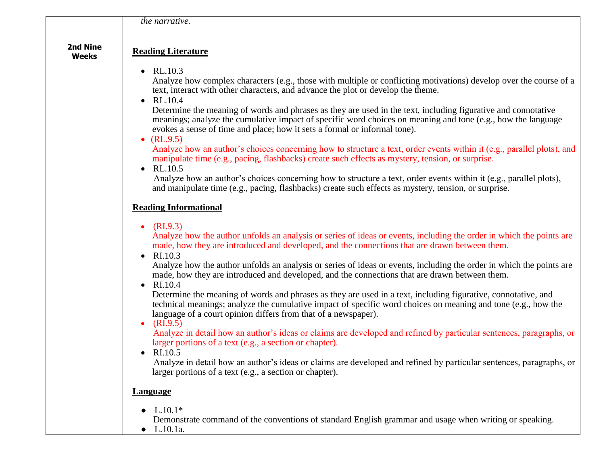|                          | the narrative.                                                                                                                                                                                                                                                                                                                                                                                                                                                                                                                                                                                                                                                                                                                                                                                                                                                                                                                                                                                                                                                                                                                                                                                                                                   |
|--------------------------|--------------------------------------------------------------------------------------------------------------------------------------------------------------------------------------------------------------------------------------------------------------------------------------------------------------------------------------------------------------------------------------------------------------------------------------------------------------------------------------------------------------------------------------------------------------------------------------------------------------------------------------------------------------------------------------------------------------------------------------------------------------------------------------------------------------------------------------------------------------------------------------------------------------------------------------------------------------------------------------------------------------------------------------------------------------------------------------------------------------------------------------------------------------------------------------------------------------------------------------------------|
| 2nd Nine<br><b>Weeks</b> | <b>Reading Literature</b>                                                                                                                                                                                                                                                                                                                                                                                                                                                                                                                                                                                                                                                                                                                                                                                                                                                                                                                                                                                                                                                                                                                                                                                                                        |
|                          | • $RL.10.3$<br>Analyze how complex characters (e.g., those with multiple or conflicting motivations) develop over the course of a<br>text, interact with other characters, and advance the plot or develop the theme.<br>RL.10.4<br>$\bullet$<br>Determine the meaning of words and phrases as they are used in the text, including figurative and connotative<br>meanings; analyze the cumulative impact of specific word choices on meaning and tone (e.g., how the language<br>evokes a sense of time and place; how it sets a formal or informal tone).<br>• $(RL.9.5)$<br>Analyze how an author's choices concerning how to structure a text, order events within it (e.g., parallel plots), and<br>manipulate time (e.g., pacing, flashbacks) create such effects as mystery, tension, or surprise.<br>RL.10.5<br>$\bullet$<br>Analyze how an author's choices concerning how to structure a text, order events within it (e.g., parallel plots),<br>and manipulate time (e.g., pacing, flashbacks) create such effects as mystery, tension, or surprise.                                                                                                                                                                                  |
|                          | <b>Reading Informational</b>                                                                                                                                                                                                                                                                                                                                                                                                                                                                                                                                                                                                                                                                                                                                                                                                                                                                                                                                                                                                                                                                                                                                                                                                                     |
|                          | (RI.9.3)<br>$\bullet$<br>Analyze how the author unfolds an analysis or series of ideas or events, including the order in which the points are<br>made, how they are introduced and developed, and the connections that are drawn between them.<br>RI.10.3<br>$\bullet$<br>Analyze how the author unfolds an analysis or series of ideas or events, including the order in which the points are<br>made, how they are introduced and developed, and the connections that are drawn between them.<br>RI.10.4<br>$\bullet$<br>Determine the meaning of words and phrases as they are used in a text, including figurative, connotative, and<br>technical meanings; analyze the cumulative impact of specific word choices on meaning and tone (e.g., how the<br>language of a court opinion differs from that of a newspaper).<br>(RI.9.5)<br>$\bullet$<br>Analyze in detail how an author's ideas or claims are developed and refined by particular sentences, paragraphs, or<br>larger portions of a text (e.g., a section or chapter).<br>RI.10.5<br>$\bullet$<br>Analyze in detail how an author's ideas or claims are developed and refined by particular sentences, paragraphs, or<br>larger portions of a text (e.g., a section or chapter). |
|                          | <b>Language</b>                                                                                                                                                                                                                                                                                                                                                                                                                                                                                                                                                                                                                                                                                                                                                                                                                                                                                                                                                                                                                                                                                                                                                                                                                                  |
|                          | $L.10.1*$<br>Demonstrate command of the conventions of standard English grammar and usage when writing or speaking.<br>L.10.1a.<br>$\bullet$                                                                                                                                                                                                                                                                                                                                                                                                                                                                                                                                                                                                                                                                                                                                                                                                                                                                                                                                                                                                                                                                                                     |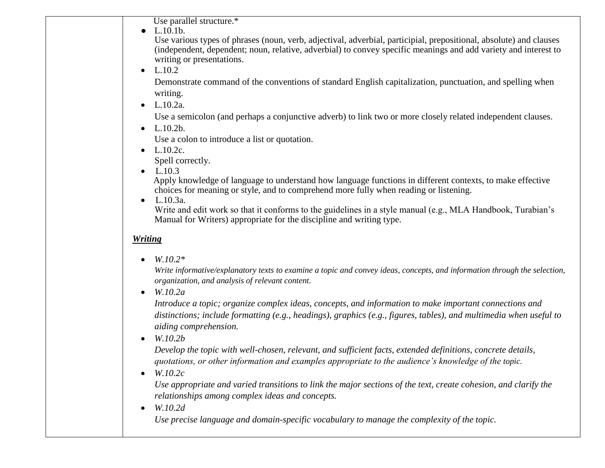Use parallel structure.\*

● L.10.1b.

 Use various types of phrases (noun, verb, adjectival, adverbial, participial, prepositional, absolute) and clauses (independent, dependent; noun, relative, adverbial) to convey specific meanings and add variety and interest to writing or presentations.

 $-L.10.2$ 

 Demonstrate command of the conventions of standard English capitalization, punctuation, and spelling when writing.

• L.10.2a.

Use a semicolon (and perhaps a conjunctive adverb) to link two or more closely related independent clauses.

 $-L.10.2b.$ 

Use a colon to introduce a list or quotation.

 $-L.10.2c.$ 

Spell correctly.

 $-L.10.3$ 

 Apply knowledge of language to understand how language functions in different contexts, to make effective choices for meaning or style, and to comprehend more fully when reading or listening.

 $\bullet$  L.10.3a.

Write and edit work so that it conforms to the guidelines in a style manual (e.g., MLA Handbook, Turabian's Manual for Writers) appropriate for the discipline and writing type.

## *Writing*

*W.10.2\**

*Write informative/explanatory texts to examine a topic and convey ideas, concepts, and information through the selection, organization, and analysis of relevant content.*

*W.10.2a*

*Introduce a topic; organize complex ideas, concepts, and information to make important connections and distinctions; include formatting (e.g., headings), graphics (e.g., figures, tables), and multimedia when useful to aiding comprehension.*

*W.10.2b*

*Develop the topic with well-chosen, relevant, and sufficient facts, extended definitions, concrete details, quotations, or other information and examples appropriate to the audience's knowledge of the topic.*

*W.10.2c*

*Use appropriate and varied transitions to link the major sections of the text, create cohesion, and clarify the relationships among complex ideas and concepts.*

*W.10.2d*

 *Use precise language and domain-specific vocabulary to manage the complexity of the topic.*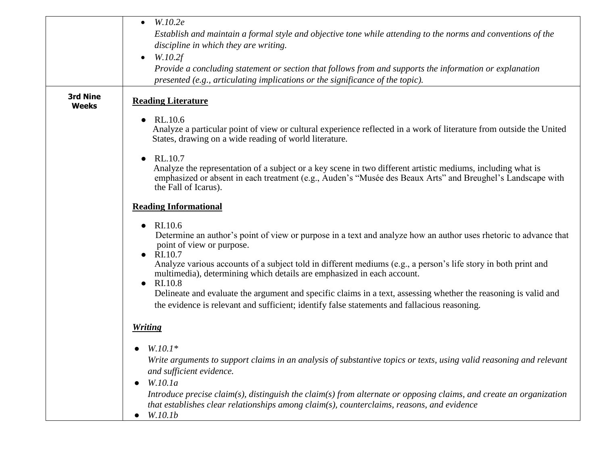|                          | W.10.2e<br>$\bullet$<br>Establish and maintain a formal style and objective tone while attending to the norms and conventions of the<br>discipline in which they are writing.                                                                                                                                                                                                                        |
|--------------------------|------------------------------------------------------------------------------------------------------------------------------------------------------------------------------------------------------------------------------------------------------------------------------------------------------------------------------------------------------------------------------------------------------|
|                          | W.10.2f<br>$\bullet$<br>Provide a concluding statement or section that follows from and supports the information or explanation<br>presented (e.g., articulating implications or the significance of the topic).                                                                                                                                                                                     |
| 3rd Nine<br><b>Weeks</b> | <b>Reading Literature</b>                                                                                                                                                                                                                                                                                                                                                                            |
|                          | RL.10.6<br>$\bullet$<br>Analyze a particular point of view or cultural experience reflected in a work of literature from outside the United<br>States, drawing on a wide reading of world literature.                                                                                                                                                                                                |
|                          | RL.10.7<br>$\bullet$<br>Analyze the representation of a subject or a key scene in two different artistic mediums, including what is<br>emphasized or absent in each treatment (e.g., Auden's "Musée des Beaux Arts" and Breughel's Landscape with<br>the Fall of Icarus).                                                                                                                            |
|                          | <b>Reading Informational</b>                                                                                                                                                                                                                                                                                                                                                                         |
|                          | RI.10.6<br>$\bullet$<br>Determine an author's point of view or purpose in a text and analyze how an author uses rhetoric to advance that<br>point of view or purpose.<br>RI.10.7<br>Analyze various accounts of a subject told in different mediums (e.g., a person's life story in both print and<br>multimedia), determining which details are emphasized in each account.<br>RI.10.8<br>$\bullet$ |
|                          | Delineate and evaluate the argument and specific claims in a text, assessing whether the reasoning is valid and<br>the evidence is relevant and sufficient; identify false statements and fallacious reasoning.                                                                                                                                                                                      |
|                          | <b>Writing</b>                                                                                                                                                                                                                                                                                                                                                                                       |
|                          | $W.10.1*$<br>Write arguments to support claims in an analysis of substantive topics or texts, using valid reasoning and relevant<br>and sufficient evidence.<br>W.10.1a<br>Introduce precise claim(s), distinguish the claim(s) from alternate or opposing claims, and create an organization                                                                                                        |
|                          | that establishes clear relationships among claim(s), counterclaims, reasons, and evidence<br>W.10.1b<br>$\bullet$                                                                                                                                                                                                                                                                                    |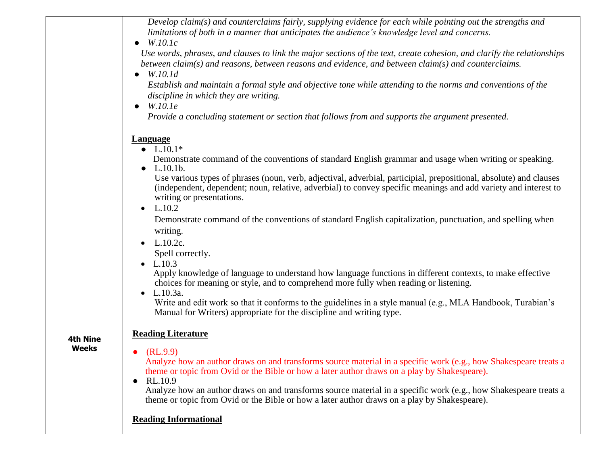|                 | Develop claim( $s$ ) and counterclaims fairly, supplying evidence for each while pointing out the strengths and<br>limitations of both in a manner that anticipates the audience's knowledge level and concerns.<br>$\bullet$ W.10.1c                                           |
|-----------------|---------------------------------------------------------------------------------------------------------------------------------------------------------------------------------------------------------------------------------------------------------------------------------|
|                 | Use words, phrases, and clauses to link the major sections of the text, create cohesion, and clarify the relationships<br>between claim(s) and reasons, between reasons and evidence, and between claim(s) and counterclaims.<br>$\bullet$ W.10.1d                              |
|                 | Establish and maintain a formal style and objective tone while attending to the norms and conventions of the<br>discipline in which they are writing.<br>W.10.1e<br>$\bullet$                                                                                                   |
|                 | Provide a concluding statement or section that follows from and supports the argument presented.                                                                                                                                                                                |
|                 | <b>Language</b><br>• $L.10.1*$                                                                                                                                                                                                                                                  |
|                 | Demonstrate command of the conventions of standard English grammar and usage when writing or speaking.<br>$L.10.1b$ .                                                                                                                                                           |
|                 | Use various types of phrases (noun, verb, adjectival, adverbial, participial, prepositional, absolute) and clauses<br>(independent, dependent; noun, relative, adverbial) to convey specific meanings and add variety and interest to<br>writing or presentations.<br>$-L.10.2$ |
|                 | Demonstrate command of the conventions of standard English capitalization, punctuation, and spelling when<br>writing.<br>$-L.10.2c.$                                                                                                                                            |
|                 | Spell correctly.                                                                                                                                                                                                                                                                |
|                 | $-L.10.3$<br>Apply knowledge of language to understand how language functions in different contexts, to make effective<br>choices for meaning or style, and to comprehend more fully when reading or listening.                                                                 |
|                 | • $L.10.3a$ .<br>Write and edit work so that it conforms to the guidelines in a style manual (e.g., MLA Handbook, Turabian's<br>Manual for Writers) appropriate for the discipline and writing type.                                                                            |
| <b>4th Nine</b> | <b>Reading Literature</b>                                                                                                                                                                                                                                                       |
| <b>Weeks</b>    | (RL.9.9)<br>Analyze how an author draws on and transforms source material in a specific work (e.g., how Shakespeare treats a<br>theme or topic from Ovid or the Bible or how a later author draws on a play by Shakespeare).<br>RL.10.9<br>$\bullet$                            |
|                 | Analyze how an author draws on and transforms source material in a specific work (e.g., how Shakespeare treats a<br>theme or topic from Ovid or the Bible or how a later author draws on a play by Shakespeare).                                                                |
|                 | <b>Reading Informational</b>                                                                                                                                                                                                                                                    |
|                 |                                                                                                                                                                                                                                                                                 |